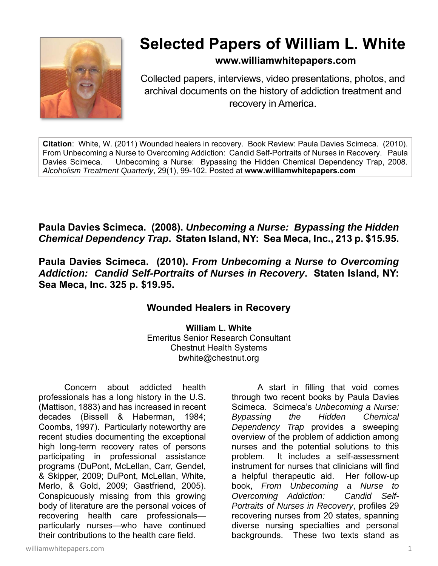

## **Selected Papers of William L. White**

**www.williamwhitepapers.com**

Collected papers, interviews, video presentations, photos, and archival documents on the history of addiction treatment and recovery in America.

**Citation**: White, W. (2011) Wounded healers in recovery. Book Review: Paula Davies Scimeca. (2010). From Unbecoming a Nurse to Overcoming Addiction: Candid Self-Portraits of Nurses in Recovery. Paula Davies Scimeca. Unbecoming a Nurse: Bypassing the Hidden Chemical Dependency Trap, 2008. *Alcoholism Treatment Quarterly*, 29(1), 99-102. Posted at **www.williamwhitepapers.com** 

**Paula Davies Scimeca. (2008).** *Unbecoming a Nurse: Bypassing the Hidden Chemical Dependency Trap***. Staten Island, NY: Sea Meca, Inc., 213 p. \$15.95.** 

**Paula Davies Scimeca. (2010).** *From Unbecoming a Nurse to Overcoming Addiction: Candid Self-Portraits of Nurses in Recovery***. Staten Island, NY: Sea Meca, Inc. 325 p. \$19.95.** 

## **Wounded Healers in Recovery**

**William L. White**  Emeritus Senior Research Consultant Chestnut Health Systems bwhite@chestnut.org

Concern about addicted health professionals has a long history in the U.S. (Mattison, 1883) and has increased in recent decades (Bissell & Haberman, 1984; Coombs, 1997). Particularly noteworthy are recent studies documenting the exceptional high long-term recovery rates of persons participating in professional assistance programs (DuPont, McLellan, Carr, Gendel, & Skipper, 2009; DuPont, McLellan, White, Merlo, & Gold, 2009; Gastfriend, 2005). Conspicuously missing from this growing body of literature are the personal voices of recovering health care professionals particularly nurses—who have continued their contributions to the health care field.

 A start in filling that void comes through two recent books by Paula Davies Scimeca. Scimeca's *Unbecoming a Nurse: Bypassing the Hidden Chemical Dependency Trap* provides a sweeping overview of the problem of addiction among nurses and the potential solutions to this problem. It includes a self-assessment instrument for nurses that clinicians will find a helpful therapeutic aid. Her follow-up book, *From Unbecoming a Nurse to Overcoming Addiction: Candid Self-Portraits of Nurses in Recovery*, profiles 29 recovering nurses from 20 states, spanning diverse nursing specialties and personal backgrounds. These two texts stand as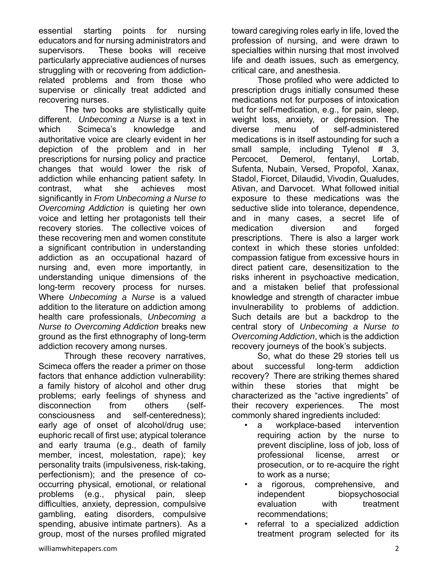essential starting points for nursing educators and for nursing administrators and supervisors. These books will receive particularly appreciative audiences of nurses struggling with or recovering from addictionrelated problems and from those who supervise or clinically treat addicted and recovering nurses.

 The two books are stylistically quite different. *Unbecoming a Nurse* is a text in which Scimeca's knowledge and authoritative voice are clearly evident in her depiction of the problem and in her prescriptions for nursing policy and practice changes that would lower the risk of addiction while enhancing patient safety. In contrast, what she achieves most significantly in *From Unbecoming a Nurse to Overcoming Addiction* is quieting her own voice and letting her protagonists tell their recovery stories. The collective voices of these recovering men and women constitute a significant contribution in understanding addiction as an occupational hazard of nursing and, even more importantly, in understanding unique dimensions of the long-term recovery process for nurses. Where *Unbecoming a Nurse* is a valued addition to the literature on addiction among health care professionals, *Unbecoming a Nurse to Overcoming Addiction* breaks new ground as the first ethnography of long-term addiction recovery among nurses.

 Through these recovery narratives, Scimeca offers the reader a primer on those factors that enhance addiction vulnerability: a family history of alcohol and other drug problems; early feelings of shyness and disconnection from others (selfconsciousness and self-centeredness); early age of onset of alcohol/drug use; euphoric recall of first use; atypical tolerance and early trauma (e.g., death of family member, incest, molestation, rape); key personality traits (impulsiveness, risk-taking, perfectionism); and the presence of cooccurring physical, emotional, or relational problems (e.g., physical pain, sleep difficulties, anxiety, depression, compulsive gambling, eating disorders, compulsive spending, abusive intimate partners). As a group, most of the nurses profiled migrated

toward caregiving roles early in life, loved the profession of nursing, and were drawn to specialties within nursing that most involved life and death issues, such as emergency, critical care, and anesthesia.

 Those profiled who were addicted to prescription drugs initially consumed these medications not for purposes of intoxication but for self-medication, e.g., for pain, sleep, weight loss, anxiety, or depression. The diverse menu of self-administered medications is in itself astounding for such a small sample, including Tylenol # 3, Percocet, Demerol, fentanyl, Lortab, Sufenta, Nubain, Versed, Propofol, Xanax, Stadol, Fiorcet, Dilaudid, Vivodin, Qualudes, Ativan, and Darvocet. What followed initial exposure to these medications was the seductive slide into tolerance, dependence, and in many cases, a secret life of medication diversion and forged prescriptions. There is also a larger work context in which these stories unfolded: compassion fatigue from excessive hours in direct patient care, desensitization to the risks inherent in psychoactive medication, and a mistaken belief that professional knowledge and strength of character imbue invulnerability to problems of addiction. Such details are but a backdrop to the central story of *Unbecoming a Nurse to Overcoming Addiction*, which is the addiction recovery journeys of the book's subjects.

 So, what do these 29 stories tell us about successful long-term addiction recovery? There are striking themes shared within these stories that might be characterized as the "active ingredients" of their recovery experiences. The most commonly shared ingredients included:

- a workplace-based intervention requiring action by the nurse to prevent discipline, loss of job, loss of professional license, arrest or prosecution, or to re-acquire the right to work as a nurse;
- a rigorous, comprehensive, and independent biopsychosocial evaluation with treatment recommendations;
- referral to a specialized addiction treatment program selected for its